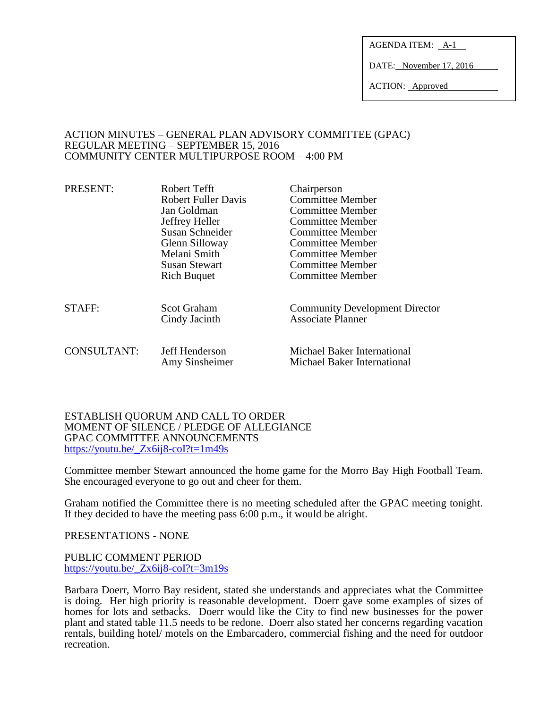AGENDA ITEM: A-1

DATE: November 17, 2016

ACTION: Approved

### ACTION MINUTES – GENERAL PLAN ADVISORY COMMITTEE (GPAC) REGULAR MEETING – SEPTEMBER 15, 2016 COMMUNITY CENTER MULTIPURPOSE ROOM – 4:00 PM

| PRESENT:           | Robert Tefft<br><b>Robert Fuller Davis</b><br>Jan Goldman<br>Jeffrey Heller<br>Susan Schneider<br>Glenn Silloway<br>Melani Smith<br><b>Susan Stewart</b><br><b>Rich Buquet</b> | Chairperson<br><b>Committee Member</b><br>Committee Member<br>Committee Member<br><b>Committee Member</b><br>Committee Member<br>Committee Member<br>Committee Member<br>Committee Member |
|--------------------|--------------------------------------------------------------------------------------------------------------------------------------------------------------------------------|-------------------------------------------------------------------------------------------------------------------------------------------------------------------------------------------|
| STAFF:             | <b>Scot Graham</b><br>Cindy Jacinth                                                                                                                                            | <b>Community Development Director</b><br><b>Associate Planner</b>                                                                                                                         |
| <b>CONSULTANT:</b> | Jeff Henderson<br>Amy Sinsheimer                                                                                                                                               | Michael Baker International<br>Michael Baker International                                                                                                                                |

### ESTABLISH QUORUM AND CALL TO ORDER MOMENT OF SILENCE / PLEDGE OF ALLEGIANCE GPAC COMMITTEE ANNOUNCEMENTS [https://youtu.be/\\_Zx6ij8-coI?t=1m49s](https://youtu.be/_Zx6ij8-coI?t=1m49s)

Committee member Stewart announced the home game for the Morro Bay High Football Team. She encouraged everyone to go out and cheer for them.

Graham notified the Committee there is no meeting scheduled after the GPAC meeting tonight. If they decided to have the meeting pass 6:00 p.m., it would be alright.

PRESENTATIONS - NONE

#### PUBLIC COMMENT PERIOD [https://youtu.be/\\_Zx6ij8-coI?t=3m19s](https://youtu.be/_Zx6ij8-coI?t=3m19s)

Barbara Doerr, Morro Bay resident, stated she understands and appreciates what the Committee is doing. Her high priority is reasonable development. Doerr gave some examples of sizes of homes for lots and setbacks. Doerr would like the City to find new businesses for the power plant and stated table 11.5 needs to be redone. Doerr also stated her concerns regarding vacation rentals, building hotel/ motels on the Embarcadero, commercial fishing and the need for outdoor recreation.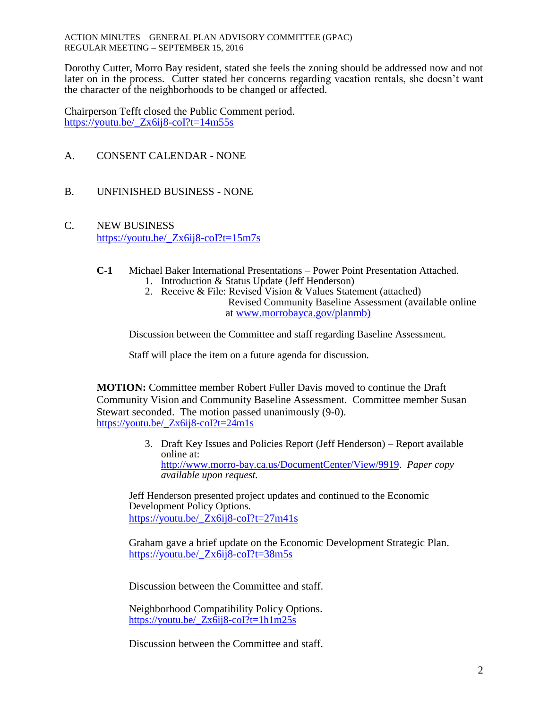ACTION MINUTES – GENERAL PLAN ADVISORY COMMITTEE (GPAC) REGULAR MEETING – SEPTEMBER 15, 2016

Dorothy Cutter, Morro Bay resident, stated she feels the zoning should be addressed now and not later on in the process. Cutter stated her concerns regarding vacation rentals, she doesn't want the character of the neighborhoods to be changed or affected.

Chairperson Tefft closed the Public Comment period. [https://youtu.be/\\_Zx6ij8-coI?t=14m55s](https://youtu.be/_Zx6ij8-coI?t=14m55s)

- A. CONSENT CALENDAR NONE
- B. UNFINISHED BUSINESS NONE
- C. NEW BUSINESS [https://youtu.be/\\_Zx6ij8-coI?t=15m7s](https://youtu.be/_Zx6ij8-coI?t=15m7s)
	- **C-1** Michael Baker International Presentations Power Point Presentation Attached.
		- 1. Introduction & Status Update (Jeff Henderson)
		- 2. Receive & File: Revised Vision & Values Statement (attached) Revised Community Baseline Assessment (available online at [www.morrobayca.gov/planmb\)](http://www.morrobayca.gov/planmb)

Discussion between the Committee and staff regarding Baseline Assessment.

Staff will place the item on a future agenda for discussion.

**MOTION:** Committee member Robert Fuller Davis moved to continue the Draft Community Vision and Community Baseline Assessment. Committee member Susan Stewart seconded. The motion passed unanimously (9-0). [https://youtu.be/\\_Zx6ij8-coI?t=24m1s](https://youtu.be/_Zx6ij8-coI?t=24m1s)

> 3. Draft Key Issues and Policies Report (Jeff Henderson) – Report available online at: [http://www.morro-bay.ca.us/DocumentCenter/View/9919.](http://www.morro-bay.ca.us/DocumentCenter/View/9919) *Paper copy available upon request.*

Jeff Henderson presented project updates and continued to the Economic Development Policy Options. [https://youtu.be/\\_Zx6ij8-coI?t=27m41s](https://youtu.be/_Zx6ij8-coI?t=27m41s)

Graham gave a brief update on the Economic Development Strategic Plan. [https://youtu.be/\\_Zx6ij8-coI?t=38m5s](https://youtu.be/_Zx6ij8-coI?t=38m5s)

Discussion between the Committee and staff.

Neighborhood Compatibility Policy Options. [https://youtu.be/\\_Zx6ij8-coI?t=1h1m25s](https://youtu.be/_Zx6ij8-coI?t=1h1m25s)

Discussion between the Committee and staff.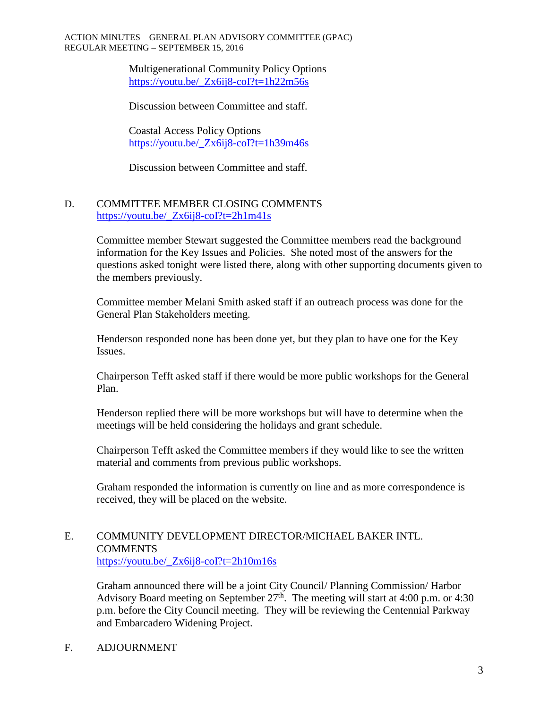#### ACTION MINUTES – GENERAL PLAN ADVISORY COMMITTEE (GPAC) REGULAR MEETING – SEPTEMBER 15, 2016

Multigenerational Community Policy Options [https://youtu.be/\\_Zx6ij8-coI?t=1h22m56s](https://youtu.be/_Zx6ij8-coI?t=1h22m56s)

Discussion between Committee and staff.

Coastal Access Policy Options [https://youtu.be/\\_Zx6ij8-coI?t=1h39m46s](https://youtu.be/_Zx6ij8-coI?t=1h39m46s)

Discussion between Committee and staff.

# D. COMMITTEE MEMBER CLOSING COMMENTS [https://youtu.be/\\_Zx6ij8-coI?t=2h1m41s](https://youtu.be/_Zx6ij8-coI?t=2h1m41s)

Committee member Stewart suggested the Committee members read the background information for the Key Issues and Policies. She noted most of the answers for the questions asked tonight were listed there, along with other supporting documents given to the members previously.

Committee member Melani Smith asked staff if an outreach process was done for the General Plan Stakeholders meeting.

Henderson responded none has been done yet, but they plan to have one for the Key Issues.

Chairperson Tefft asked staff if there would be more public workshops for the General Plan.

Henderson replied there will be more workshops but will have to determine when the meetings will be held considering the holidays and grant schedule.

Chairperson Tefft asked the Committee members if they would like to see the written material and comments from previous public workshops.

Graham responded the information is currently on line and as more correspondence is received, they will be placed on the website.

## E. COMMUNITY DEVELOPMENT DIRECTOR/MICHAEL BAKER INTL. **COMMENTS** [https://youtu.be/\\_Zx6ij8-coI?t=2h10m16s](https://youtu.be/_Zx6ij8-coI?t=2h10m16s)

Graham announced there will be a joint City Council/ Planning Commission/ Harbor Advisory Board meeting on September  $27<sup>th</sup>$ . The meeting will start at 4:00 p.m. or 4:30 p.m. before the City Council meeting. They will be reviewing the Centennial Parkway and Embarcadero Widening Project.

## F. ADJOURNMENT